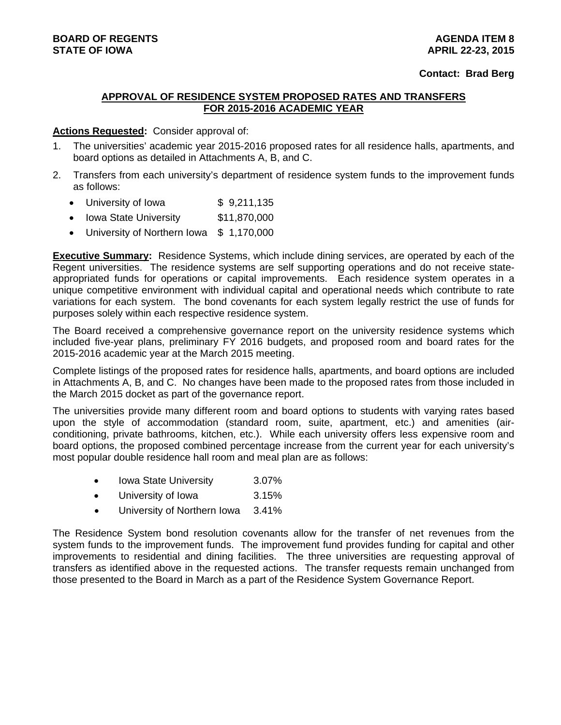# **APPROVAL OF RESIDENCE SYSTEM PROPOSED RATES AND TRANSFERS FOR 2015-2016 ACADEMIC YEAR**

# **Actions Requested:** Consider approval of:

- 1. The universities' academic year 2015-2016 proposed rates for all residence halls, apartments, and board options as detailed in Attachments A, B, and C.
- 2. Transfers from each university's department of residence system funds to the improvement funds as follows:
	- University of Iowa  $$9,211,135$
	- Iowa State University \$11,870,000
	- University of Northern Iowa \$ 1,170,000

**Executive Summary:** Residence Systems, which include dining services, are operated by each of the Regent universities. The residence systems are self supporting operations and do not receive stateappropriated funds for operations or capital improvements. Each residence system operates in a unique competitive environment with individual capital and operational needs which contribute to rate variations for each system. The bond covenants for each system legally restrict the use of funds for purposes solely within each respective residence system.

The Board received a comprehensive governance report on the university residence systems which included five-year plans, preliminary FY 2016 budgets, and proposed room and board rates for the 2015-2016 academic year at the March 2015 meeting.

Complete listings of the proposed rates for residence halls, apartments, and board options are included in Attachments A, B, and C. No changes have been made to the proposed rates from those included in the March 2015 docket as part of the governance report.

The universities provide many different room and board options to students with varying rates based upon the style of accommodation (standard room, suite, apartment, etc.) and amenities (airconditioning, private bathrooms, kitchen, etc.). While each university offers less expensive room and board options, the proposed combined percentage increase from the current year for each university's most popular double residence hall room and meal plan are as follows:

- Iowa State University 3.07%
- University of Iowa 3.15%
- University of Northern Iowa 3.41%

The Residence System bond resolution covenants allow for the transfer of net revenues from the system funds to the improvement funds. The improvement fund provides funding for capital and other improvements to residential and dining facilities. The three universities are requesting approval of transfers as identified above in the requested actions. The transfer requests remain unchanged from those presented to the Board in March as a part of the Residence System Governance Report.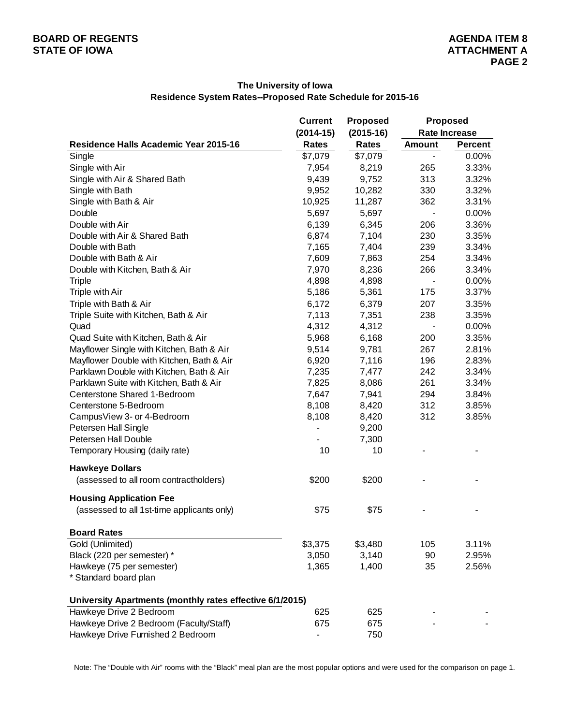## **The University of Iowa Residence System Rates--Proposed Rate Schedule for 2015-16**

|                                                          | <b>Current</b> | <b>Proposed</b> | <b>Proposed</b>          |                      |  |  |
|----------------------------------------------------------|----------------|-----------------|--------------------------|----------------------|--|--|
|                                                          | $(2014-15)$    | $(2015-16)$     |                          | <b>Rate Increase</b> |  |  |
| Residence Halls Academic Year 2015-16                    | <b>Rates</b>   | <b>Rates</b>    | <b>Amount</b>            | <b>Percent</b>       |  |  |
| Single                                                   | \$7,079        | \$7,079         |                          | 0.00%                |  |  |
| Single with Air                                          | 7,954          | 8,219           | 265                      | 3.33%                |  |  |
| Single with Air & Shared Bath                            | 9,439          | 9,752           | 313                      | 3.32%                |  |  |
| Single with Bath                                         | 9,952          | 10,282          | 330                      | 3.32%                |  |  |
| Single with Bath & Air                                   | 10,925         | 11,287          | 362                      | 3.31%                |  |  |
| Double                                                   | 5,697          | 5,697           |                          | 0.00%                |  |  |
| Double with Air                                          | 6,139          | 6,345           | 206                      | 3.36%                |  |  |
| Double with Air & Shared Bath                            | 6,874          | 7,104           | 230                      | 3.35%                |  |  |
| Double with Bath                                         | 7,165          | 7,404           | 239                      | 3.34%                |  |  |
| Double with Bath & Air                                   | 7,609          | 7,863           | 254                      | 3.34%                |  |  |
| Double with Kitchen, Bath & Air                          | 7,970          | 8,236           | 266                      | 3.34%                |  |  |
| <b>Triple</b>                                            | 4,898          | 4,898           | $\overline{\phantom{a}}$ | 0.00%                |  |  |
| Triple with Air                                          | 5,186          | 5,361           | 175                      | 3.37%                |  |  |
| Triple with Bath & Air                                   | 6,172          | 6,379           | 207                      | 3.35%                |  |  |
| Triple Suite with Kitchen, Bath & Air                    | 7,113          | 7,351           | 238                      | 3.35%                |  |  |
| Quad                                                     | 4,312          | 4,312           |                          | 0.00%                |  |  |
| Quad Suite with Kitchen, Bath & Air                      | 5,968          | 6,168           | 200                      | 3.35%                |  |  |
| Mayflower Single with Kitchen, Bath & Air                | 9,514          | 9,781           | 267                      | 2.81%                |  |  |
| Mayflower Double with Kitchen, Bath & Air                | 6,920          | 7,116           | 196                      | 2.83%                |  |  |
| Parklawn Double with Kitchen, Bath & Air                 | 7,235          | 7,477           | 242                      | 3.34%                |  |  |
| Parklawn Suite with Kitchen, Bath & Air                  | 7,825          | 8,086           | 261                      | 3.34%                |  |  |
| Centerstone Shared 1-Bedroom                             | 7,647          | 7,941           | 294                      | 3.84%                |  |  |
| Centerstone 5-Bedroom                                    | 8,108          | 8,420           | 312                      | 3.85%                |  |  |
| CampusView 3- or 4-Bedroom                               | 8,108          | 8,420           | 312                      | 3.85%                |  |  |
| Petersen Hall Single                                     |                | 9,200           |                          |                      |  |  |
| Petersen Hall Double                                     |                | 7,300           |                          |                      |  |  |
| Temporary Housing (daily rate)                           | 10             | 10              |                          |                      |  |  |
| <b>Hawkeye Dollars</b>                                   |                |                 |                          |                      |  |  |
| (assessed to all room contractholders)                   | \$200          | \$200           |                          |                      |  |  |
| <b>Housing Application Fee</b>                           |                |                 |                          |                      |  |  |
| (assessed to all 1st-time applicants only)               | \$75           | \$75            |                          |                      |  |  |
| <b>Board Rates</b>                                       |                |                 |                          |                      |  |  |
| Gold (Unlimited)                                         | \$3,375        | \$3,480         | 105                      | 3.11%                |  |  |
| Black (220 per semester) *                               | 3,050          | 3,140           | 90                       | 2.95%                |  |  |
| Hawkeye (75 per semester)                                | 1,365          | 1,400           | 35                       | 2.56%                |  |  |
| * Standard board plan                                    |                |                 |                          |                      |  |  |
| University Apartments (monthly rates effective 6/1/2015) |                |                 |                          |                      |  |  |
| Hawkeye Drive 2 Bedroom                                  | 625            | 625             |                          |                      |  |  |
| Hawkeye Drive 2 Bedroom (Faculty/Staff)                  | 675            | 675             |                          |                      |  |  |
| Hawkeye Drive Furnished 2 Bedroom                        |                | 750             |                          |                      |  |  |

Note: The "Double with Air" rooms with the "Black" meal plan are the most popular options and were used for the comparison on page 1.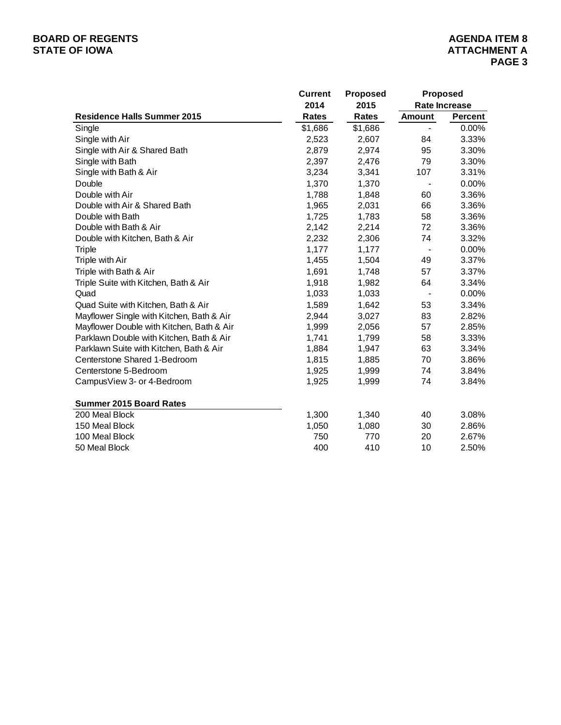# **BOARD OF REGENTS**<br> **BOARD OF REGENTS**<br> **STATE OF IOWA**<br> **ATTACHMENT A**

|                                           | <b>Current</b> | <b>Proposed</b> | <b>Proposed</b>          |                      |
|-------------------------------------------|----------------|-----------------|--------------------------|----------------------|
|                                           | 2014           | 2015            |                          | <b>Rate Increase</b> |
| <b>Residence Halls Summer 2015</b>        | <b>Rates</b>   | <b>Rates</b>    | <b>Amount</b>            | Percent              |
| Single                                    | \$1,686        | \$1,686         |                          | 0.00%                |
| Single with Air                           | 2,523          | 2,607           | 84                       | 3.33%                |
| Single with Air & Shared Bath             | 2,879          | 2,974           | 95                       | 3.30%                |
| Single with Bath                          | 2,397          | 2,476           | 79                       | 3.30%                |
| Single with Bath & Air                    | 3,234          | 3,341           | 107                      | 3.31%                |
| Double                                    | 1,370          | 1,370           |                          | 0.00%                |
| Double with Air                           | 1,788          | 1,848           | 60                       | 3.36%                |
| Double with Air & Shared Bath             | 1,965          | 2,031           | 66                       | 3.36%                |
| Double with Bath                          | 1,725          | 1,783           | 58                       | 3.36%                |
| Double with Bath & Air                    | 2,142          | 2,214           | 72                       | 3.36%                |
| Double with Kitchen, Bath & Air           | 2,232          | 2,306           | 74                       | 3.32%                |
| <b>Triple</b>                             | 1,177          | 1,177           |                          | 0.00%                |
| Triple with Air                           | 1,455          | 1,504           | 49                       | 3.37%                |
| Triple with Bath & Air                    | 1,691          | 1,748           | 57                       | 3.37%                |
| Triple Suite with Kitchen, Bath & Air     | 1,918          | 1,982           | 64                       | 3.34%                |
| Quad                                      | 1,033          | 1,033           | $\overline{\phantom{a}}$ | 0.00%                |
| Quad Suite with Kitchen, Bath & Air       | 1,589          | 1,642           | 53                       | 3.34%                |
| Mayflower Single with Kitchen, Bath & Air | 2,944          | 3,027           | 83                       | 2.82%                |
| Mayflower Double with Kitchen, Bath & Air | 1,999          | 2,056           | 57                       | 2.85%                |
| Parklawn Double with Kitchen, Bath & Air  | 1,741          | 1,799           | 58                       | 3.33%                |
| Parklawn Suite with Kitchen, Bath & Air   | 1,884          | 1,947           | 63                       | 3.34%                |
| Centerstone Shared 1-Bedroom              | 1,815          | 1,885           | 70                       | 3.86%                |
| Centerstone 5-Bedroom                     | 1,925          | 1,999           | 74                       | 3.84%                |
| CampusView 3- or 4-Bedroom                | 1,925          | 1,999           | 74                       | 3.84%                |
| <b>Summer 2015 Board Rates</b>            |                |                 |                          |                      |
| 200 Meal Block                            | 1,300          | 1,340           | 40                       | 3.08%                |
| 150 Meal Block                            | 1,050          | 1,080           | 30                       | 2.86%                |
| 100 Meal Block                            | 750            | 770             | 20                       | 2.67%                |
| 50 Meal Block                             | 400            | 410             | 10                       | 2.50%                |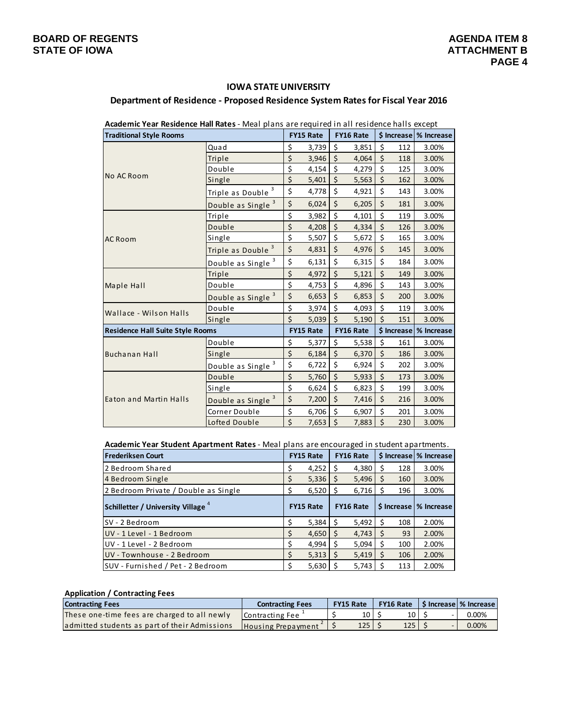# **IOWA STATE UNIVERSITY Department of Residence ‐ Proposed Residence System Rates for Fiscal Year 2016**

#### **FY15 Rate FY16 Rate \$ Increase % Increase** Qua d \$ 3,739 \$ 3,851 \$ 112 3.00% Triple \$ 3,946 \$ 4,064 \$ 118 3.00% Double \$ 4,154 \$ 4,279 \$ 125 3.00% Single  $\begin{vmatrix} 5 & 5,401 & 5 & 5,563 & 5 & 162 & 3.00\% \end{vmatrix}$ Triple as Double  $3 \mid 5 \mid 4,778 \mid 5 \mid 4,921 \mid 5 \mid 143 \mid 3.00\%$ Double as Single  $3 \mid 5 \mid 6,024 \mid 5 \mid 6,205 \mid 5 \mid 181 \mid 3.00\%$ Triple \$ 3,982 \$ 4,101 \$ 119 3.00% Double \$ 4,208 \$ 4,334 \$ 126 3.00% Single \$ 5,507 \$ 5,672 \$ 165 3.00% Triple as Double  $\frac{3}{5}$   $\frac{2}{5}$  4,831  $\frac{2}{5}$  4,976  $\frac{2}{5}$  145 3.00% Double as Single  $3 \mid 5 \mid 6,131 \mid 5 \mid 6,315 \mid 5 \mid 184 \mid 3.00\%$ Triple \$ 4,972 \$ 5,121 \$ 149 3.00% Double \$ 4,753 \$ 4,896 \$ 143 3.00% Double as Single  $3 \mid 5 \mid 6,653 \mid 5 \mid 6,853 \mid 5 \mid 200 \mid 3.00\%$ Double \$ 3,974 \$ 4,093 \$ 119 3.00% Single \$ 5,039 \$ 5,190 \$ 151 3.00% **FY15 Rate FY16 Rate \$ Increase % Increase** Double \$ 5,377 \$ 5,538 \$ 161 3.00% Single \$ 6,184 \$ 6,370 \$ 186 3.00% Double as Single  $3 \mid 5 \qquad 6,722 \mid 5 \qquad 6,924 \mid 5 \qquad 202 \mid 3.00\%$ Double \$ 5,760 \$ 5,933 \$ 173 3.00% Single  $\begin{vmatrix} 5 & 6,624 & 5 & 6,823 & 5 & 199 & 3.00\% \end{vmatrix}$ Double as Single  $3 \mid 5 \mid 7,200 \mid 5 \mid 7,416 \mid 5 \mid 216 \mid 3.00\%$  $\text{Corner Double}$   $\begin{vmatrix} 5 & 6,706 & 5 & 6,907 & 5 & 201 & 3.00\% \end{vmatrix}$ Lofted Double  $\begin{vmatrix} 5 & 7,653 & 5 & 7,883 & 5 & 230 & 3.00\% \end{vmatrix}$ **Traditional Style Rooms Buchanan Hall** Ma ple Hall Wallace ‐ Wilson Halls No AC Room AC Room Ea ton and Ma rtin Halls **Residence Hall Suite Style Rooms**

**Academic Year Residence Hall Rates** ‐ Meal plans are required in all residence halls except

**Academic Year Student Apartment Rates** ‐ Meal plans are encouraged in student apartments.

| <b>Frederiksen Court</b>                      | <b>FY15 Rate</b> |       | <b>FY16 Rate</b> |       |  |     | \$ Increase \% Increase  |
|-----------------------------------------------|------------------|-------|------------------|-------|--|-----|--------------------------|
| 2 Bedroom Shared                              |                  | 4,252 |                  | 4,380 |  | 128 | 3.00%                    |
| 4 Bedroom Single                              |                  | 5,336 | Ś                | 5,496 |  | 160 | 3.00%                    |
| 2 Bedroom Private / Double as Single          |                  | 6,520 | Ś                | 6,716 |  | 196 | 3.00%                    |
| Schilletter / University Village <sup>4</sup> | <b>FY15 Rate</b> |       | <b>FY16 Rate</b> |       |  |     | \$ Increase   % Increase |
| SV - 2 Bedroom                                | ς                | 5,384 | Ś                | 5,492 |  | 108 | 2.00%                    |
| UV - 1 Level - 1 Bedroom                      |                  | 4,650 | Ś                | 4,743 |  | 93  | 2.00%                    |
| UV - 1 Level - 2 Bedroom                      | \$               | 4,994 |                  | 5,094 |  | 100 | 2.00%                    |
| UV - Townhouse - 2 Bedroom                    | \$               | 5,313 | Ś                | 5,419 |  | 106 | 2.00%                    |
| SUV - Furnished / Pet - 2 Bedroom             |                  | 5,630 |                  | 5,743 |  | 113 | 2.00%                    |

#### **Application / Contracting Fees**

| <b>Contracting Fees</b>                       | <b>Contracting Fees</b> |  | <b>FY16 Rate</b><br><b>FY15 Rate</b> |  |                  | S Increase   % Increase |
|-----------------------------------------------|-------------------------|--|--------------------------------------|--|------------------|-------------------------|
| These one-time fees are charged to all newly  | Contracting Fee         |  | 10                                   |  | 10 <sup>1</sup>  | $0.00\%$                |
| admitted students as part of their Admissions | Housing Prepayment      |  | 125                                  |  | 125 <sub>1</sub> | $0.00\%$                |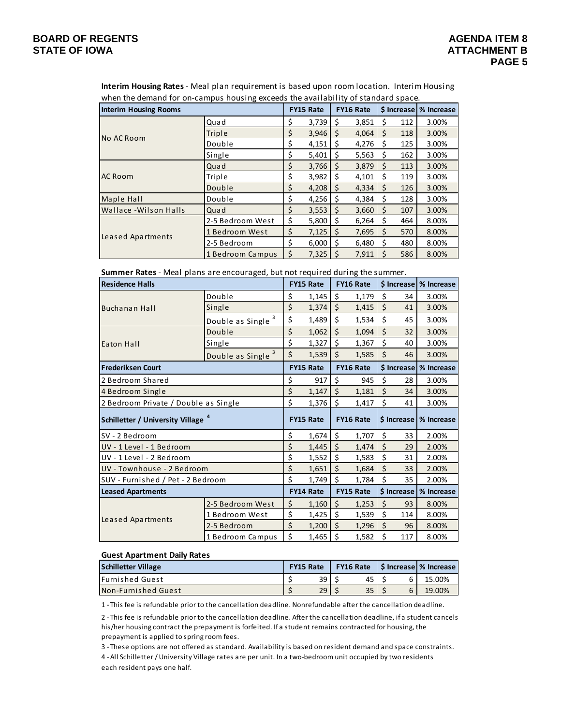when the demand for on-campus housing exceeds the availability of standard space. **Interim Housing Rates** ‐ Meal plan requirement is based upon room location. Interim Housing

| when the acmana for on campas nousing execcus the availability or standard space.<br><b>Interim Housing Rooms</b> |                  |    | <b>FY15 Rate</b> |              | <b>FY16 Rate</b> |    |     | \$ Increase \% Increase |
|-------------------------------------------------------------------------------------------------------------------|------------------|----|------------------|--------------|------------------|----|-----|-------------------------|
|                                                                                                                   | Quad             | \$ | 3,739            | S            | 3,851            | \$ | 112 | 3.00%                   |
| No AC Room                                                                                                        | Triple           | \$ | 3,946            | <sub>S</sub> | 4,064            | S  | 118 | 3.00%                   |
|                                                                                                                   | Double           | \$ | 4,151            | S            | 4,276            | S  | 125 | 3.00%                   |
|                                                                                                                   | Single           | \$ | 5,401            | S            | 5,563            | S  | 162 | 3.00%                   |
|                                                                                                                   | Quad             | Ś  | 3,766            | S            | 3,879            | S  | 113 | 3.00%                   |
| <b>AC Room</b>                                                                                                    | Triple           | Ś  | 3,982            | S            | 4,101            | S  | 119 | 3.00%                   |
|                                                                                                                   | Double           | \$ | 4,208            |              | 4,334            | S  | 126 | 3.00%                   |
| Maple Hall                                                                                                        | Double           | \$ | 4,256            | -\$          | 4,384            | S  | 128 | 3.00%                   |
| Wallace - Wilson Halls                                                                                            | Quad             | \$ | 3,553            | .S           | 3,660            | S  | 107 | 3.00%                   |
|                                                                                                                   | 2-5 Bedroom West | \$ | 5,800            | S            | 6,264            | S  | 464 | 8.00%                   |
|                                                                                                                   | 1 Bedroom West   | \$ | 7,125            | <sup>S</sup> | 7,695            | S  | 570 | 8.00%                   |
| Leased Apartments                                                                                                 | 2-5 Bedroom      | \$ | 6,000            | Ś            | 6,480            | Ś  | 480 | 8.00%                   |
|                                                                                                                   | 1 Bedroom Campus | Ś  | 7,325            |              | 7,911            |    | 586 | 8.00%                   |

**Summer Rates** ‐ Meal plans are encouraged, but not required during the summer.

| <b>Residence Halls</b>                        |                                    | <b>FY15 Rate</b> |                  | <b>FY16 Rate</b>   |                  |         |             | \$ Increase % Increase |
|-----------------------------------------------|------------------------------------|------------------|------------------|--------------------|------------------|---------|-------------|------------------------|
|                                               | Double                             | \$               | 1,145            | \$                 | 1,179            | \$      | 34          | 3.00%                  |
| <b>Buchanan Hall</b>                          | Single                             | \$               | 1,374            | \$                 | 1,415            | \$      | 41          | 3.00%                  |
|                                               | 3<br>Double as Single              | \$               | 1,489            | \$                 | 1,534            | \$      | 45          | 3.00%                  |
|                                               | Double                             | $\zeta$          | 1,062            | $\zeta$            | 1,094            | $\zeta$ | 32          | 3.00%                  |
| Eaton Hall                                    | Single                             | \$               | 1,327            | \$                 | 1,367            | \$      | 40          | 3.00%                  |
|                                               | 3<br>Double as Single <sup>3</sup> | \$               | 1,539            | \$                 | 1,585            | \$      | 46          | 3.00%                  |
| <b>Frederiksen Court</b>                      |                                    |                  | <b>FY15 Rate</b> |                    | FY16 Rate        |         | \$ Increase | % Increase             |
| 2 Bedroom Shared                              |                                    | \$               | 917              | \$                 | 945              | \$      | 28          | 3.00%                  |
| 4 Bedroom Single                              |                                    | \$               | 1,147            | \$                 | 1,181            | \$      | 34          | 3.00%                  |
| 2 Bedroom Private / Double as Single          |                                    | \$               | 1,376            | \$                 | 1,417            | \$      | 41          | 3.00%                  |
| Schilletter / University Village <sup>4</sup> |                                    | <b>FY15 Rate</b> |                  |                    |                  |         |             |                        |
|                                               |                                    |                  |                  |                    | <b>FY16 Rate</b> |         | \$ Increase | % Increase             |
| SV - 2 Bedroom                                |                                    | \$               | 1,674            | \$                 | 1,707            | \$      | 33          | 2.00%                  |
| UV - 1 Level - 1 Bedroom                      |                                    | \$               | 1,445            | $\mathsf{\dot{S}}$ | 1,474            | $\zeta$ | 29          | 2.00%                  |
| UV - 1 Level - 2 Bedroom                      |                                    | \$               | 1,552            | \$                 | 1,583            | \$      | 31          | 2.00%                  |
| UV - Townhouse - 2 Bedroom                    |                                    | \$               | 1,651            | $\zeta$            | 1,684            | $\zeta$ | 33          | 2.00%                  |
| SUV - Furnished / Pet - 2 Bedroom             |                                    | \$               | 1,749            | \$                 | 1,784            | \$      | 35          | 2.00%                  |
| <b>Leased Apartments</b>                      |                                    |                  | <b>FY14 Rate</b> |                    | <b>FY15 Rate</b> |         | \$ Increase | % Increase             |
|                                               | 2-5 Bedroom West                   | \$               | 1,160            | $\zeta$            | 1,253            | $\zeta$ | 93          | 8.00%                  |
|                                               | 1 Bedroom West                     | \$               | 1,425            | \$                 | 1,539            | \$      | 114         | 8.00%                  |
| Leased Apartments                             | 2-5 Bedroom                        | \$               | 1,200            | \$                 | 1,296            | \$      | 96          | 8.00%                  |

#### **Guest Apartment Daily Rates**

| <b>Schilletter Village</b> | <b>FY15 Rate</b> |    | <b>FY16 Rate</b> |    |  |  | S Increase % Increase |  |
|----------------------------|------------------|----|------------------|----|--|--|-----------------------|--|
| <b>IFurnished Guest</b>    |                  | 39 |                  | 45 |  |  | 15.00%                |  |
| Non-Furnished Guest        |                  | 29 |                  | 35 |  |  | 19.00%                |  |

1 ‐ This fee is refundable prior to the cancellation deadline. Nonrefundable after the cancellation deadline.

2 ‐ This fee is refundable prior to the cancellation deadline. After the cancellation deadline, if a student cancels his/her housing contract the prepayment is forfeited. If a student remains contracted for housing, the prepayment is applied to spring room fees.

3 ‐ These options are not offered as standard. Availability is based on resident demand and space constraints.

each resident pays one half. 4 ‐ All Schilletter /University Village rates are per unit. In a two‐bedroom unit occupied by two residents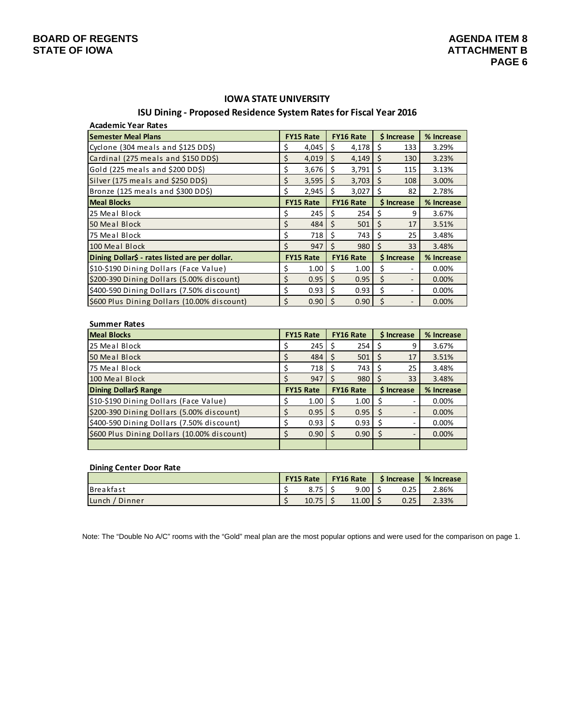# **IOWA STATE UNIVERSITY**

## **ISU Dining ‐ Proposed Residence System Ratesfor Fiscal Year 2016**

| <b>Academic Year Rates</b>                     |    |                  |    |                  |             |                          |            |
|------------------------------------------------|----|------------------|----|------------------|-------------|--------------------------|------------|
| <b>Semester Meal Plans</b>                     |    | <b>FY15 Rate</b> |    | <b>FY16 Rate</b> |             | <b>S</b> Increase        | % Increase |
| Cyclone (304 meals and \$125 DD\$)             | \$ | 4,045            | \$ | 4,178            | S           | 133                      | 3.29%      |
| Cardinal (275 meals and \$150 DD\$)            | \$ | 4,019            | \$ | 4,149            | Ś           | 130                      | 3.23%      |
| Gold (225 meals and \$200 DD\$)                | \$ | 3,676            | Ŝ. | 3,791            | S           | 115                      | 3.13%      |
| Silver (175 meals and \$250 DD\$)              | \$ | 3,595            | \$ | 3,703            | S.          | 108                      | 3.00%      |
| Bronze (125 meals and \$300 DD\$)              | \$ | 2,945            | Ś  | 3,027            | Ś           | 82                       | 2.78%      |
| <b>Meal Blocks</b>                             |    | <b>FY15 Rate</b> |    | <b>FY16 Rate</b> | \$ Increase |                          | % Increase |
| 25 Meal Block                                  | \$ | 245              | S  | 254              | S           | 9                        | 3.67%      |
| 50 Meal Block                                  | \$ | 484              | \$ | 501              | \$          | 17                       | 3.51%      |
| 75 Meal Block                                  | \$ | 718              | \$ | 743              | \$          | 25                       | 3.48%      |
| 100 Meal Block                                 | Ś  | 947              | Ś  | 980              | Ś           | 33                       | 3.48%      |
| Dining Dollar\$ - rates listed are per dollar. |    | <b>FY15 Rate</b> |    | <b>FY16 Rate</b> |             | \$ Increase              | % Increase |
| \$10-\$190 Dining Dollars (Face Value)         | \$ | 1.00             | Ś  | 1.00             | \$          |                          | 0.00%      |
| \$200-390 Dining Dollars (5.00% discount)      | \$ | 0.95             | \$ | 0.95             | \$          | $\overline{\phantom{a}}$ | 0.00%      |
| \$400-590 Dining Dollars (7.50% discount)      | \$ | 0.93             | \$ | 0.93             | \$          | ۰                        | 0.00%      |
| \$600 Plus Dining Dollars (10.00% discount)    | Ś  | 0.90             | Ś  | 0.90             | \$          |                          | 0.00%      |

| <b>Summer Rates</b>                         |                  |      |                  |      |              |                              |            |  |
|---------------------------------------------|------------------|------|------------------|------|--------------|------------------------------|------------|--|
| <b>Meal Blocks</b>                          | <b>FY15 Rate</b> |      | <b>FY16 Rate</b> |      | \$ Increase  |                              | % Increase |  |
| 25 Meal Block                               |                  | 245  | S                | 254  | S            | 9                            | 3.67%      |  |
| 50 Meal Block                               |                  | 484  | S                | 501  | S            | 17                           | 3.51%      |  |
| 75 Meal Block                               |                  | 718  | S                | 743  | S            | 25                           | 3.48%      |  |
| 100 Meal Block                              |                  | 947  | S                | 980  | S            | 33                           | 3.48%      |  |
|                                             | <b>FY15 Rate</b> |      | <b>FY16 Rate</b> |      | \$ Increase  |                              |            |  |
| Dining Dollar\$ Range                       |                  |      |                  |      |              |                              | % Increase |  |
| \$10-\$190 Dining Dollars (Face Value)      |                  | 1.00 | S                | 1.00 | S            | ۰                            | 0.00%      |  |
| \$200-390 Dining Dollars (5.00% discount)   |                  | 0.95 | S                | 0.95 | -S           | ٠                            | 0.00%      |  |
| \$400-590 Dining Dollars (7.50% discount)   |                  | 0.93 | S                | 0.93 |              | ۰                            | 0.00%      |  |
| \$600 Plus Dining Dollars (10.00% discount) |                  | 0.90 | S                | 0.90 | <sub>S</sub> | $\qquad \qquad \blacksquare$ | 0.00%      |  |

### **Dining Center Door Rate**

|                     | <b>FY15 Rate</b> |              | <b>FY16 Rate</b> |       | <b>S</b> Increase |      | % Increase |  |
|---------------------|------------------|--------------|------------------|-------|-------------------|------|------------|--|
| <b>Breakfast</b>    |                  | 8.75<br>8.7J |                  | 9.00  |                   | 0.25 | 2.86%      |  |
| / Dinner<br>l Lunch |                  | 10.75        |                  | 11.00 |                   | 0.25 | 2.33%      |  |

Note: The "Double No A/C" rooms with the "Gold" meal plan are the most popular options and were used for the comparison on page 1.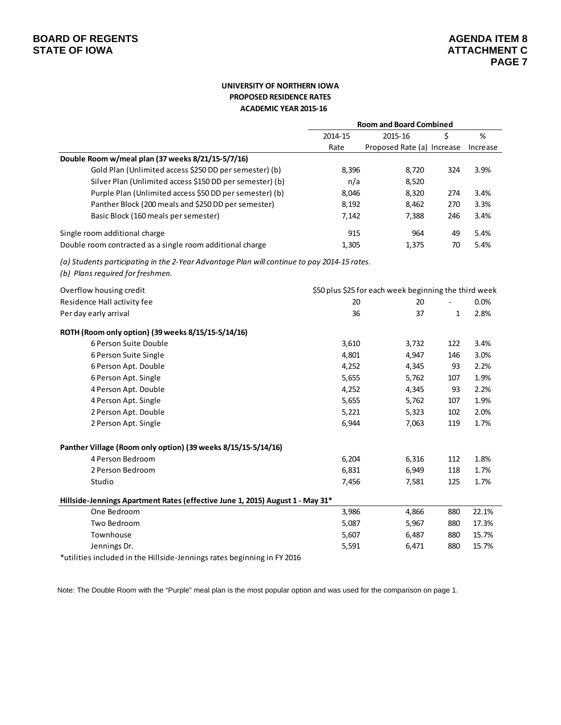## **UNIVERSITY OF NORTHERN IOWA PROPOSED RESIDENCE RATES ACADEMIC YEAR 2015‐16**

|                                                                                                                                 | <b>Room and Board Combined</b> |                                                       |              |          |  |  |
|---------------------------------------------------------------------------------------------------------------------------------|--------------------------------|-------------------------------------------------------|--------------|----------|--|--|
|                                                                                                                                 | 2014-15                        | 2015-16                                               | Ś            | $\%$     |  |  |
|                                                                                                                                 | Rate                           | Proposed Rate (a) Increase                            |              | Increase |  |  |
| Double Room w/meal plan (37 weeks 8/21/15-5/7/16)                                                                               |                                |                                                       |              |          |  |  |
| Gold Plan (Unlimited access \$250 DD per semester) (b)                                                                          | 8,396                          | 8,720                                                 | 324          | 3.9%     |  |  |
| Silver Plan (Unlimited access \$150 DD per semester) (b)                                                                        | n/a                            | 8,520                                                 |              |          |  |  |
| Purple Plan (Unlimited access \$50 DD per semester) (b)                                                                         | 8,046                          | 8,320                                                 | 274          | 3.4%     |  |  |
| Panther Block (200 meals and \$250 DD per semester)                                                                             | 8,192                          | 8,462                                                 | 270          | 3.3%     |  |  |
| Basic Block (160 meals per semester)                                                                                            | 7,142                          | 7,388                                                 | 246          | 3.4%     |  |  |
| Single room additional charge                                                                                                   | 915                            | 964                                                   | 49           | 5.4%     |  |  |
| Double room contracted as a single room additional charge                                                                       | 1,305                          | 1,375                                                 | 70           | 5.4%     |  |  |
| (a) Students participating in the 2-Year Advantage Plan will continue to pay 2014-15 rates.<br>(b) Plans required for freshmen. |                                |                                                       |              |          |  |  |
| Overflow housing credit                                                                                                         |                                | \$50 plus \$25 for each week beginning the third week |              |          |  |  |
| Residence Hall activity fee                                                                                                     | 20                             | 20                                                    |              | 0.0%     |  |  |
| Per day early arrival                                                                                                           | 36                             | 37                                                    | $\mathbf{1}$ | 2.8%     |  |  |
| ROTH (Room only option) (39 weeks 8/15/15-5/14/16)                                                                              |                                |                                                       |              |          |  |  |
| 6 Person Suite Double                                                                                                           | 3,610                          | 3,732                                                 | 122          | 3.4%     |  |  |
| 6 Person Suite Single                                                                                                           | 4,801                          | 4,947                                                 | 146          | 3.0%     |  |  |
| 6 Person Apt. Double                                                                                                            | 4,252                          | 4,345                                                 | 93           | 2.2%     |  |  |
| 6 Person Apt. Single                                                                                                            | 5,655                          | 5,762                                                 | 107          | 1.9%     |  |  |
| 4 Person Apt. Double                                                                                                            | 4,252                          | 4,345                                                 | 93           | 2.2%     |  |  |
| 4 Person Apt. Single                                                                                                            | 5,655                          | 5,762                                                 | 107          | 1.9%     |  |  |
| 2 Person Apt. Double                                                                                                            | 5,221                          | 5,323                                                 | 102          | 2.0%     |  |  |
| 2 Person Apt. Single                                                                                                            | 6,944                          | 7,063                                                 | 119          | 1.7%     |  |  |
| Panther Village (Room only option) (39 weeks 8/15/15-5/14/16)                                                                   |                                |                                                       |              |          |  |  |
| 4 Person Bedroom                                                                                                                | 6,204                          | 6,316                                                 | 112          | 1.8%     |  |  |
| 2 Person Bedroom                                                                                                                | 6,831                          | 6,949                                                 | 118          | 1.7%     |  |  |
| Studio                                                                                                                          | 7,456                          | 7,581                                                 | 125          | 1.7%     |  |  |
| Hillside-Jennings Apartment Rates (effective June 1, 2015) August 1 - May 31*                                                   |                                |                                                       |              |          |  |  |
| One Bedroom                                                                                                                     | 3,986                          | 4,866                                                 | 880          | 22.1%    |  |  |
| Two Bedroom                                                                                                                     | 5,087                          | 5,967                                                 | 880          | 17.3%    |  |  |
| Townhouse                                                                                                                       | 5,607                          | 6,487                                                 | 880          | 15.7%    |  |  |
| Jennings Dr.                                                                                                                    | 5,591                          | 6,471                                                 | 880          | 15.7%    |  |  |
| *utilities included in the Hillside-Jennings rates beginning in FY 2016                                                         |                                |                                                       |              |          |  |  |

Note: The Double Room with the "Purple" meal plan is the most popular option and was used for the comparison on page 1.